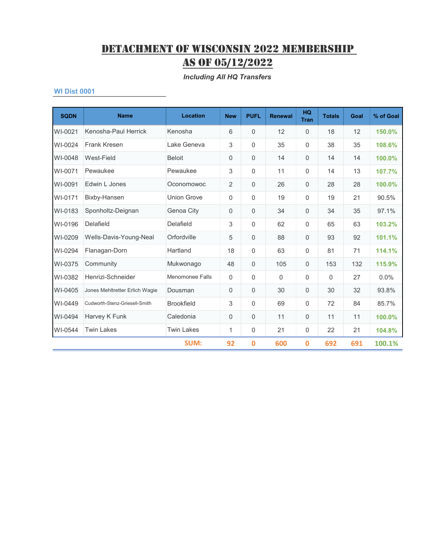*Including All HQ Transfers*

| <b>SQDN</b> | <b>Name</b>                    | <b>Location</b>    | <b>New</b>     | <b>PUFL</b>    | <b>Renewal</b> | <b>HQ</b><br><b>Tran</b> | <b>Totals</b> | Goal | % of Goal |
|-------------|--------------------------------|--------------------|----------------|----------------|----------------|--------------------------|---------------|------|-----------|
| WI-0021     | Kenosha-Paul Herrick           | Kenosha            | 6              | $\mathbf{0}$   | 12             | $\mathbf 0$              | 18            | 12   | 150.0%    |
| WI-0024     | Frank Kresen                   | Lake Geneva        | 3              | $\mathbf 0$    | 35             | 0                        | 38            | 35   | 108.6%    |
| WI-0048     | West-Field                     | <b>Beloit</b>      | 0              | 0              | 14             | 0                        | 14            | 14   | 100.0%    |
| WI-0071     | Pewaukee                       | Pewaukee           | 3              | $\mathbf{0}$   | 11             | 0                        | 14            | 13   | 107.7%    |
| WI-0091     | Edwin L Jones                  | Oconomowoc         | $\overline{2}$ | $\mathbf{0}$   | 26             | 0                        | 28            | 28   | 100.0%    |
| WI-0171     | Bixby-Hansen                   | <b>Union Grove</b> | 0              | $\mathbf 0$    | 19             | 0                        | 19            | 21   | 90.5%     |
| WI-0183     | Sponholtz-Deignan              | Genoa City         | 0              | $\mathbf 0$    | 34             | 0                        | 34            | 35   | 97.1%     |
| WI-0196     | Delafield                      | Delafield          | 3              | $\mathbf 0$    | 62             | 0                        | 65            | 63   | 103.2%    |
| WI-0209     | Wells-Davis-Young-Neal         | Orfordville        | 5              | $\mathbf 0$    | 88             | 0                        | 93            | 92   | 101.1%    |
| WI-0294     | Flanagan-Dorn                  | Hartland           | 18             | $\mathbf{0}$   | 63             | 0                        | 81            | 71   | 114.1%    |
| WI-0375     | Community                      | Mukwonago          | 48             | $\mathbf 0$    | 105            | 0                        | 153           | 132  | 115.9%    |
| WI-0382     | Henrizi-Schneider              | Menomonee Falls    | $\mathbf 0$    | $\mathbf 0$    | $\Omega$       | 0                        | 0             | 27   | 0.0%      |
| WI-0405     | Jones Mehltretter Erlich Wagie | Dousman            | 0              | $\mathbf 0$    | 30             | 0                        | 30            | 32   | 93.8%     |
| WI-0449     | Cudworth-Stenz-Griesell-Smith  | <b>Brookfield</b>  | 3              | $\Omega$       | 69             | 0                        | 72            | 84   | 85.7%     |
| WI-0494     | Harvey K Funk                  | Caledonia          | 0              | $\overline{0}$ | 11             | 0                        | 11            | 11   | 100.0%    |
| WI-0544     | <b>Twin Lakes</b>              | <b>Twin Lakes</b>  | 1              | $\mathbf 0$    | 21             | 0                        | 22            | 21   | 104.8%    |
|             |                                | <b>SUM:</b>        | 92             | $\mathbf 0$    | 600            | $\mathbf 0$              | 692           | 691  | 100.1%    |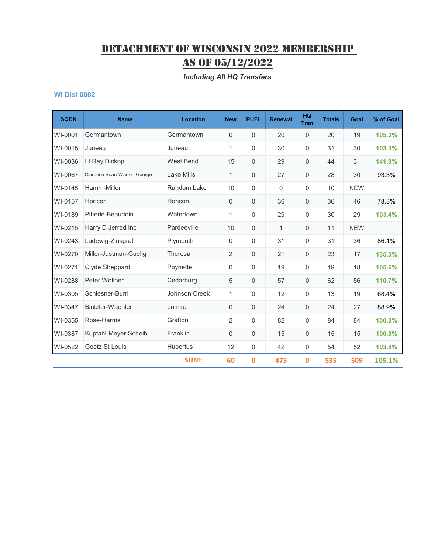*Including All HQ Transfers*

| <b>SQDN</b> | <b>Name</b>                 | <b>Location</b>   | <b>New</b>     | <b>PUFL</b>  | <b>Renewal</b> | <b>HQ</b><br><b>Tran</b> | <b>Totals</b> | Goal       | % of Goal |
|-------------|-----------------------------|-------------------|----------------|--------------|----------------|--------------------------|---------------|------------|-----------|
| WI-0001     | Germantown                  | Germantown        | 0              | $\mathbf 0$  | 20             | $\mathbf 0$              | 20            | 19         | 105.3%    |
| WI-0015     | Juneau                      | Juneau            | 1              | $\mathbf{0}$ | 30             | 0                        | 31            | 30         | 103.3%    |
| WI-0036     | Lt Ray Dickop               | <b>West Bend</b>  | 15             | $\mathbf{0}$ | 29             | $\Omega$                 | 44            | 31         | 141.9%    |
| WI-0067     | Clarence Bean-Warren George | <b>Lake Mills</b> | $\mathbf{1}$   | $\mathbf 0$  | 27             | 0                        | 28            | 30         | 93.3%     |
| WI-0145     | Hamm-Miller                 | Random Lake       | 10             | $\mathbf{0}$ | $\Omega$       | 0                        | 10            | <b>NEW</b> |           |
| WI-0157     | Horicon                     | Horicon           | 0              | $\mathbf 0$  | 36             | 0                        | 36            | 46         | 78.3%     |
| WI-0189     | Pitterle-Beaudoin           | Watertown         | $\mathbf{1}$   | 0            | 29             | 0                        | 30            | 29         | 103.4%    |
| WI-0215     | Harry D Jerred Inc          | Pardeeville       | 10             | $\mathbf{0}$ | $\mathbf{1}$   | 0                        | 11            | <b>NEW</b> |           |
| WI-0243     | Ladewig-Zinkgraf            | Plymouth          | 0              | $\mathbf{0}$ | 31             | 0                        | 31            | 36         | 86.1%     |
| WI-0270     | Miller-Justman-Guelig       | <b>Theresa</b>    | $\overline{2}$ | $\mathbf 0$  | 21             | 0                        | 23            | 17         | 135.3%    |
| WI-0271     | Clyde Sheppard              | Poynette          | 0              | $\mathbf{0}$ | 19             | 0                        | 19            | 18         | 105.6%    |
| WI-0288     | Peter Wollner               | Cedarburg         | 5              | $\Omega$     | 57             | 0                        | 62            | 56         | 110.7%    |
| WI-0305     | Schlesner-Burri             | Johnson Creek     | $\mathbf{1}$   | $\mathbf 0$  | 12             | 0                        | 13            | 19         | 68.4%     |
| WI-0347     | Bintzler-Waehler            | Lomira            | 0              | $\mathbf 0$  | 24             | 0                        | 24            | 27         | 88.9%     |
| WI-0355     | Rose-Harms                  | Grafton           | 2              | $\mathbf{0}$ | 82             | $\Omega$                 | 84            | 84         | 100.0%    |
| WI-0387     | Kupfahl-Meyer-Scheib        | Franklin          | 0              | $\mathbf{0}$ | 15             | 0                        | 15            | 15         | 100.0%    |
| WI-0522     | Goetz St Louis              | <b>Hubertus</b>   | 12             | $\mathbf 0$  | 42             | $\mathbf 0$              | 54            | 52         | 103.8%    |
|             |                             | <b>SUM:</b>       | 60             | 0            | 475            | $\bf{0}$                 | 535           | 509        | 105.1%    |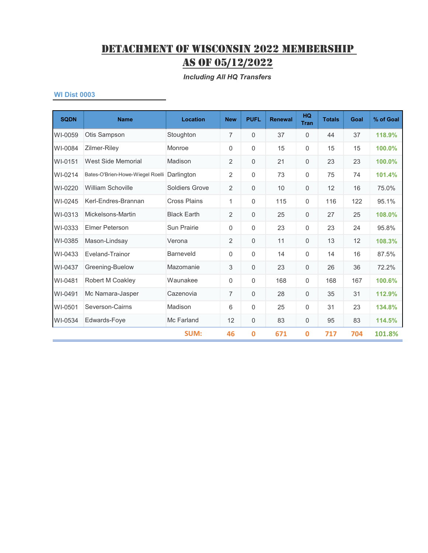*Including All HQ Transfers*

| <b>SQDN</b> | <b>Name</b>                      | <b>Location</b>     | <b>New</b>     | <b>PUFL</b>  | <b>Renewal</b> | <b>HQ</b><br><b>Tran</b> | <b>Totals</b> | Goal | % of Goal |
|-------------|----------------------------------|---------------------|----------------|--------------|----------------|--------------------------|---------------|------|-----------|
| WI-0059     | Otis Sampson                     | Stoughton           | 7              | $\mathbf 0$  | 37             | 0                        | 44            | 37   | 118.9%    |
| WI-0084     | Zilmer-Riley                     | Monroe              | 0              | $\Omega$     | 15             | 0                        | 15            | 15   | 100.0%    |
| WI-0151     | West Side Memorial               | Madison             | $\overline{2}$ | 0            | 21             | 0                        | 23            | 23   | 100.0%    |
| WI-0214     | Bates-O'Brien-Howe-Wiegel Roelli | Darlington          | $\overline{2}$ | 0            | 73             | 0                        | 75            | 74   | 101.4%    |
| WI-0220     | William Schoville                | Soldiers Grove      | $\overline{2}$ | 0            | 10             | 0                        | 12            | 16   | 75.0%     |
| WI-0245     | Kerl-Endres-Brannan              | <b>Cross Plains</b> | 1              | $\mathbf 0$  | 115            | $\mathbf 0$              | 116           | 122  | 95.1%     |
| WI-0313     | Mickelsons-Martin                | <b>Black Earth</b>  | $\overline{2}$ | $\mathbf{0}$ | 25             | $\mathbf 0$              | 27            | 25   | 108.0%    |
| WI-0333     | <b>Elmer Peterson</b>            | <b>Sun Prairie</b>  | 0              | $\mathbf 0$  | 23             | 0                        | 23            | 24   | 95.8%     |
| WI-0385     | Mason-Lindsay                    | Verona              | $\overline{2}$ | $\mathbf{0}$ | 11             | 0                        | 13            | 12   | 108.3%    |
| WI-0433     | Eveland-Trainor                  | <b>Barneveld</b>    | 0              | $\Omega$     | 14             | $\Omega$                 | 14            | 16   | 87.5%     |
| WI-0437     | Greening-Buelow                  | Mazomanie           | 3              | $\Omega$     | 23             | 0                        | 26            | 36   | 72.2%     |
| WI-0481     | Robert M Coakley                 | Waunakee            | 0              | $\Omega$     | 168            | 0                        | 168           | 167  | 100.6%    |
| WI-0491     | Mc Namara-Jasper                 | Cazenovia           | $\overline{7}$ | $\mathbf{0}$ | 28             | $\mathbf 0$              | 35            | 31   | 112.9%    |
| WI-0501     | Severson-Cairns                  | Madison             | 6              | $\mathbf{0}$ | 25             | $\mathbf 0$              | 31            | 23   | 134.8%    |
| WI-0534     | Edwards-Foye                     | Mc Farland          | 12             | 0            | 83             | 0                        | 95            | 83   | 114.5%    |
|             |                                  | <b>SUM:</b>         | 46             | 0            | 671            | 0                        | 717           | 704  | 101.8%    |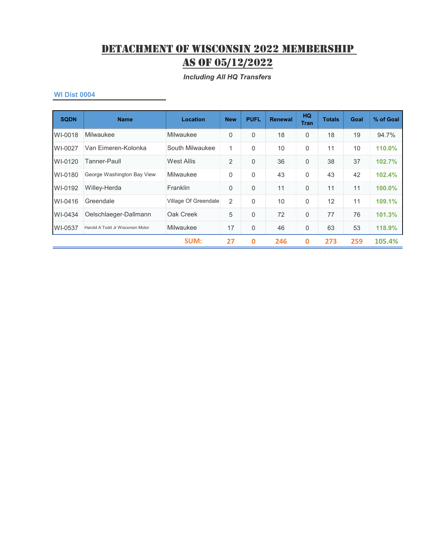*Including All HQ Transfers*

| <b>SQDN</b> | <b>Name</b>                      | Location             | <b>New</b>     | <b>PUFL</b>  | <b>Renewal</b> | <b>HQ</b><br><b>Tran</b> | <b>Totals</b> | <b>Goal</b> | % of Goal |
|-------------|----------------------------------|----------------------|----------------|--------------|----------------|--------------------------|---------------|-------------|-----------|
| WI-0018     | Milwaukee                        | Milwaukee            | 0              | $\Omega$     | 18             | $\mathbf 0$              | 18            | 19          | 94.7%     |
| WI-0027     | Van Eimeren-Kolonka              | South Milwaukee      | 1              | $\mathbf{0}$ | 10             | $\mathbf 0$              | 11            | 10          | 110.0%    |
| WI-0120     | Tanner-Paull                     | <b>West Allis</b>    | $\overline{2}$ | $\Omega$     | 36             | $\Omega$                 | 38            | 37          | 102.7%    |
| WI-0180     | George Washington Bay View       | Milwaukee            | $\mathbf 0$    | $\Omega$     | 43             | $\mathbf 0$              | 43            | 42          | 102.4%    |
| WI-0192     | Willey-Herda                     | Franklin             | 0              | $\Omega$     | 11             | $\Omega$                 | 11            | 11          | 100.0%    |
| WI-0416     | Greendale                        | Village Of Greendale | 2              | $\Omega$     | 10             | $\Omega$                 | 12            | 11          | 109.1%    |
| WI-0434     | Oelschlaeger-Dallmann            | Oak Creek            | 5              | $\Omega$     | 72             | $\mathbf 0$              | 77            | 76          | 101.3%    |
| WI-0537     | Harold A Todd Jr Wisconsin Motor | Milwaukee            | 17             | $\mathbf 0$  | 46             | $\mathbf 0$              | 63            | 53          | 118.9%    |
|             |                                  | <b>SUM:</b>          | 27             | $\bf{0}$     | 246            | $\mathbf 0$              | 273           | 259         | 105.4%    |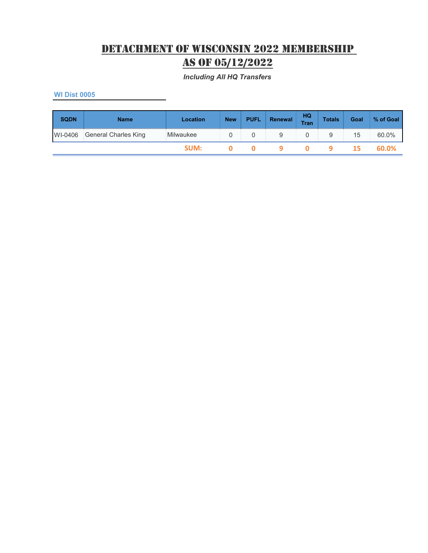*Including All HQ Transfers*

| <b>SQDN</b> | <b>Name</b>          | Location  | <b>New</b> | <b>PUFL</b> | Renewal | HQ<br><b>Tran</b> | <b>Totals</b> | Goal | % of Goal |
|-------------|----------------------|-----------|------------|-------------|---------|-------------------|---------------|------|-----------|
| WI-0406     | General Charles King | Milwaukee |            |             | 9       |                   | 9             | 15   | 60.0%     |
|             |                      | SUM:      |            |             |         |                   |               | 15.  | 60.0%     |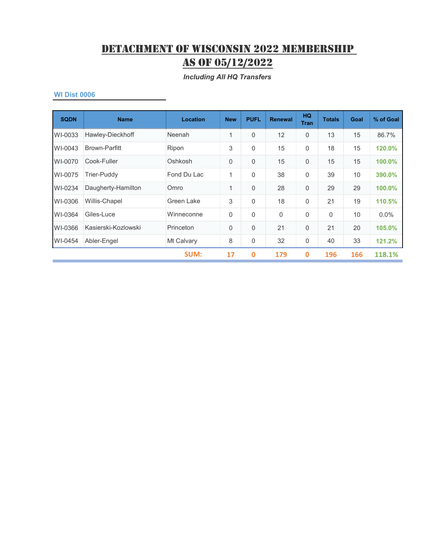*Including All HQ Transfers*

| <b>SQDN</b> | <b>Name</b>          | <b>Location</b> | <b>New</b>  | <b>PUFL</b> | <b>Renewal</b> | HQ.<br><b>Tran</b> | <b>Totals</b> | Goal | % of Goal |
|-------------|----------------------|-----------------|-------------|-------------|----------------|--------------------|---------------|------|-----------|
| WI-0033     | Hawley-Dieckhoff     | Neenah          | 1           | $\Omega$    | 12             | $\mathbf 0$        | 13            | 15   | 86.7%     |
| WI-0043     | <b>Brown-Parfitt</b> | Ripon           | 3           | 0           | 15             | $\overline{0}$     | 18            | 15   | 120.0%    |
| WI-0070     | Cook-Fuller          | Oshkosh         | $\mathbf 0$ | $\Omega$    | 15             | $\mathbf 0$        | 15            | 15   | 100.0%    |
| WI-0075     | Trier-Puddy          | Fond Du Lac     | 1           | $\Omega$    | 38             | $\Omega$           | 39            | 10   | 390.0%    |
| WI-0234     | Daugherty-Hamilton   | Omro            | 1           | $\Omega$    | 28             | $\mathbf{0}$       | 29            | 29   | 100.0%    |
| WI-0306     | Willis-Chapel        | Green Lake      | 3           | $\Omega$    | 18             | $\overline{0}$     | 21            | 19   | 110.5%    |
| WI-0364     | Giles-Luce           | Winneconne      | $\mathbf 0$ | $\Omega$    | $\overline{0}$ | $\overline{0}$     | 0             | 10   | $0.0\%$   |
| WI-0366     | Kasierski-Kozlowski  | Princeton       | $\mathbf 0$ | $\Omega$    | 21             | $\overline{0}$     | 21            | 20   | 105.0%    |
| WI-0454     | Abler-Engel          | Mt Calvary      | 8           | 0           | 32             | 0                  | 40            | 33   | 121.2%    |
|             |                      | <b>SUM:</b>     | 17          | $\mathbf 0$ | 179            | $\mathbf 0$        | 196           | 166  | 118.1%    |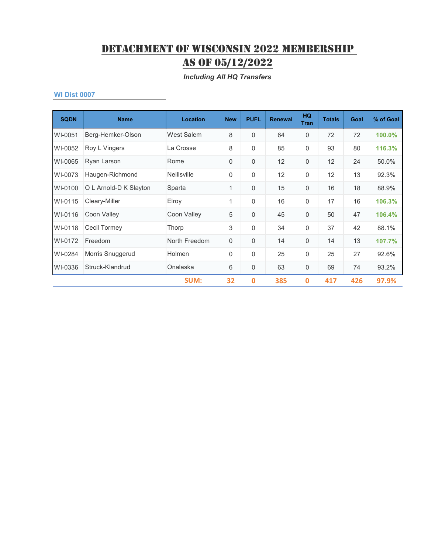*Including All HQ Transfers*

| <b>SQDN</b> | <b>Name</b>            | Location           | <b>New</b>   | <b>PUFL</b> | <b>Renewal</b> | HQ.<br><b>Tran</b> | <b>Totals</b> | Goal | % of Goal |
|-------------|------------------------|--------------------|--------------|-------------|----------------|--------------------|---------------|------|-----------|
| WI-0051     | Berg-Hemker-Olson      | West Salem         | 8            | $\Omega$    | 64             | $\Omega$           | 72            | 72   | 100.0%    |
| WI-0052     | Roy L Vingers          | La Crosse          | 8            | 0           | 85             | $\overline{0}$     | 93            | 80   | 116.3%    |
| WI-0065     | Ryan Larson            | Rome               | $\mathbf 0$  | 0           | 12             | $\mathbf{0}$       | 12            | 24   | 50.0%     |
| WI-0073     | Haugen-Richmond        | <b>Neillsville</b> | 0            | $\mathbf 0$ | 12             | $\overline{0}$     | 12            | 13   | 92.3%     |
| WI-0100     | O L Arnold-D K Slayton | Sparta             | 1            | $\Omega$    | 15             | $\mathbf 0$        | 16            | 18   | 88.9%     |
| WI-0115     | Cleary-Miller          | Elroy              | $\mathbf{1}$ | $\Omega$    | 16             | $\overline{0}$     | 17            | 16   | 106.3%    |
| WI-0116     | Coon Valley            | Coon Valley        | 5            | $\Omega$    | 45             | $\Omega$           | 50            | 47   | 106.4%    |
| WI-0118     | Cecil Tormey           | <b>Thorp</b>       | 3            | $\Omega$    | 34             | $\Omega$           | 37            | 42   | 88.1%     |
| WI-0172     | Freedom                | North Freedom      | $\mathbf 0$  | 0           | 14             | $\mathbf 0$        | 14            | 13   | 107.7%    |
| WI-0284     | Morris Snuggerud       | <b>Holmen</b>      | 0            | $\Omega$    | 25             | 0                  | 25            | 27   | 92.6%     |
| WI-0336     | Struck-Klandrud        | Onalaska           | 6            | 0           | 63             | $\mathbf 0$        | 69            | 74   | 93.2%     |
|             |                        | <b>SUM:</b>        | 32           | $\mathbf 0$ | 385            | $\mathbf 0$        | 417           | 426  | 97.9%     |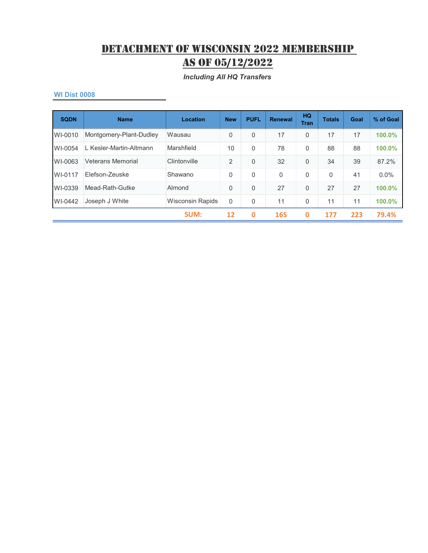#### *Including All HQ Transfers*

| <b>SQDN</b> | <b>Name</b>              | Location                | <b>New</b>     | <b>PUFL</b> | <b>Renewal</b> | HQ<br><b>Tran</b> | <b>Totals</b> | Goal | % of Goal |
|-------------|--------------------------|-------------------------|----------------|-------------|----------------|-------------------|---------------|------|-----------|
| WI-0010     | Montgomery-Plant-Dudley  | Wausau                  | 0              | 0           | 17             | $\mathbf 0$       | 17            | 17   | 100.0%    |
| WI-0054     | L Kesler-Martin-Altmann  | Marshfield              | 10             | $\Omega$    | 78             | $\Omega$          | 88            | 88   | 100.0%    |
| WI-0063     | <b>Veterans Memorial</b> | Clintonville            | $\overline{2}$ | 0           | 32             | $\mathbf 0$       | 34            | 39   | 87.2%     |
| WI-0117     | Flefson-Zeuske           | Shawano                 | $\Omega$       | $\Omega$    | $\mathbf{0}$   | $\Omega$          | $\Omega$      | 41   | $0.0\%$   |
| WI-0339     | Mead-Rath-Gutke          | Almond                  | 0              | $\Omega$    | 27             | $\Omega$          | 27            | 27   | 100.0%    |
| WI-0442     | Joseph J White           | <b>Wisconsin Rapids</b> | 0              | 0           | 11             | 0                 | 11            | 11   | 100.0%    |
|             |                          | SUM:                    | 12             | 0           | 165            | 0                 | 177           | 223  | 79.4%     |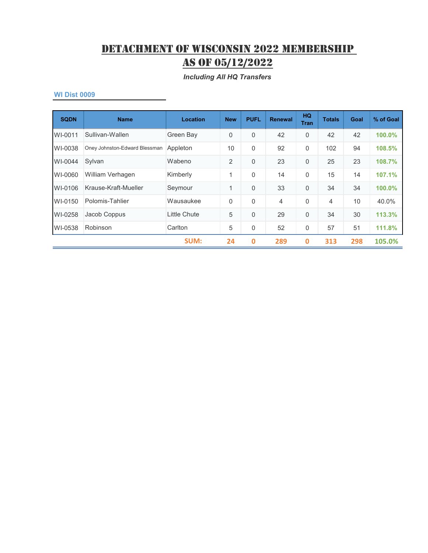*Including All HQ Transfers*

| <b>SQDN</b> | <b>Name</b>                   | Location     | <b>New</b>     | <b>PUFL</b> | <b>Renewal</b> | <b>HQ</b><br><b>Tran</b> | <b>Totals</b>  | Goal | % of Goal |
|-------------|-------------------------------|--------------|----------------|-------------|----------------|--------------------------|----------------|------|-----------|
| WI-0011     | Sullivan-Wallen               | Green Bay    | 0              | $\Omega$    | 42             | $\mathbf 0$              | 42             | 42   | 100.0%    |
| WI-0038     | Oney Johnston-Edward Blessman | Appleton     | 10             | $\Omega$    | 92             | $\mathbf 0$              | 102            | 94   | 108.5%    |
| WI-0044     | Sylvan                        | Wabeno       | $\overline{2}$ | $\Omega$    | 23             | $\mathbf 0$              | 25             | 23   | 108.7%    |
| WI-0060     | William Verhagen              | Kimberly     | 1              | $\Omega$    | 14             | $\mathbf 0$              | 15             | 14   | 107.1%    |
| WI-0106     | Krause-Kraft-Mueller          | Seymour      | 1              | $\Omega$    | 33             | $\Omega$                 | 34             | 34   | 100.0%    |
| WI-0150     | Polomis-Tahlier               | Wausaukee    | $\mathbf{0}$   | $\Omega$    | 4              | $\Omega$                 | $\overline{4}$ | 10   | 40.0%     |
| WI-0258     | Jacob Coppus                  | Little Chute | 5              | $\Omega$    | 29             | $\Omega$                 | 34             | 30   | 113.3%    |
| WI-0538     | Robinson                      | Carlton      | 5              | 0           | 52             | $\mathbf 0$              | 57             | 51   | 111.8%    |
|             |                               | <b>SUM:</b>  | 24             | $\mathbf 0$ | 289            | $\bf{0}$                 | 313            | 298  | 105.0%    |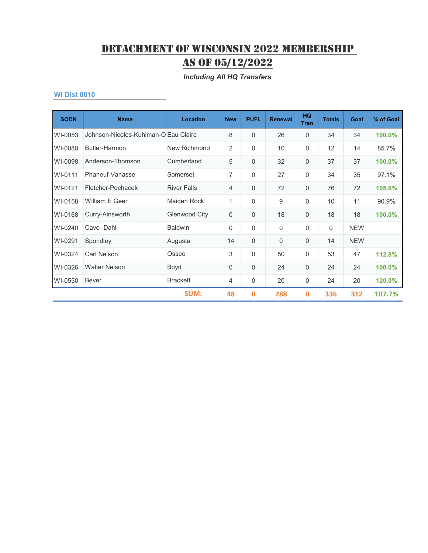#### *Including All HQ Transfers*

| <b>SQDN</b> | <b>Name</b>                          | Location           | <b>New</b>   | <b>PUFL</b> | <b>Renewal</b> | <b>HQ</b><br><b>Tran</b> | <b>Totals</b> | Goal       | % of Goal |
|-------------|--------------------------------------|--------------------|--------------|-------------|----------------|--------------------------|---------------|------------|-----------|
| WI-0053     | Johnson-Nicoles-Kuhlman-O Eau Claire |                    | 8            | $\Omega$    | 26             | $\mathbf 0$              | 34            | 34         | 100.0%    |
| WI-0080     | Butler-Harmon                        | New Richmond       | 2            | $\Omega$    | 10             | 0                        | 12            | 14         | 85.7%     |
| WI-0098     | Anderson-Thomson                     | Cumberland         | 5            | $\mathbf 0$ | 32             | $\mathbf 0$              | 37            | 37         | 100.0%    |
| WI-0111     | Phaneuf-Vanasse                      | Somerset           | 7            | $\Omega$    | 27             | 0                        | 34            | 35         | 97.1%     |
| WI-0121     | Fletcher-Pechacek                    | <b>River Falls</b> | 4            | 0           | 72             | $\mathbf 0$              | 76            | 72         | 105.6%    |
| WI-0158     | William F Geer                       | Maiden Rock        | $\mathbf{1}$ | $\Omega$    | 9              | $\mathbf 0$              | 10            | 11         | 90.9%     |
| WI-0168     | Curry-Ainsworth                      | Glenwood City      | 0            | $\Omega$    | 18             | 0                        | 18            | 18         | 100.0%    |
| WI-0240     | Cave-Dahl                            | <b>Baldwin</b>     | 0            | $\Omega$    | $\Omega$       | 0                        | 0             | <b>NEW</b> |           |
| WI-0291     | Spondley                             | Augusta            | 14           | $\Omega$    | $\Omega$       | 0                        | 14            | <b>NEW</b> |           |
| WI-0324     | Carl Nelson                          | Osseo              | 3            | $\Omega$    | 50             | $\mathbf 0$              | 53            | 47         | 112.8%    |
| WI-0326     | <b>Walter Nelson</b>                 | Boyd               | 0            | $\mathbf 0$ | 24             | $\mathbf 0$              | 24            | 24         | 100.0%    |
| WI-0550     | <b>Bever</b>                         | <b>Brackett</b>    | 4            | $\mathbf 0$ | 20             | $\mathbf 0$              | 24            | 20         | 120.0%    |
|             |                                      | SUM:               | 48           | $\mathbf 0$ | 288            | $\boldsymbol{0}$         | 336           | 312        | 107.7%    |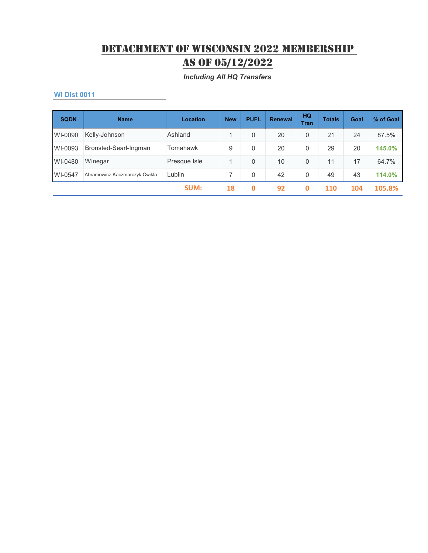*Including All HQ Transfers*

| <b>SQDN</b> | <b>Name</b>                   | <b>Location</b> | <b>New</b> | <b>PUFL</b> | <b>Renewal</b> | HQ<br><b>Tran</b> | <b>Totals</b> | Goal | % of Goal |
|-------------|-------------------------------|-----------------|------------|-------------|----------------|-------------------|---------------|------|-----------|
| WI-0090     | Kelly-Johnson                 | Ashland         | 1          | 0           | 20             | 0                 | 21            | 24   | 87.5%     |
| WI-0093     | Bronsted-Searl-Ingman         | Tomahawk        | 9          | 0           | 20             | $\mathbf{0}$      | 29            | 20   | 145.0%    |
| WI-0480     | Winegar                       | Presque Isle    | 1          | 0           | 10             | $\Omega$          | 11            | 17   | 64.7%     |
| WI-0547     | Abramowicz-Kaczmarczyk Cwikla | Lublin          |            | 0           | 42             | $\Omega$          | 49            | 43   | 114.0%    |
|             |                               | <b>SUM:</b>     | 18         | 0           | 92             | 0                 | 110           | 104  | 105.8%    |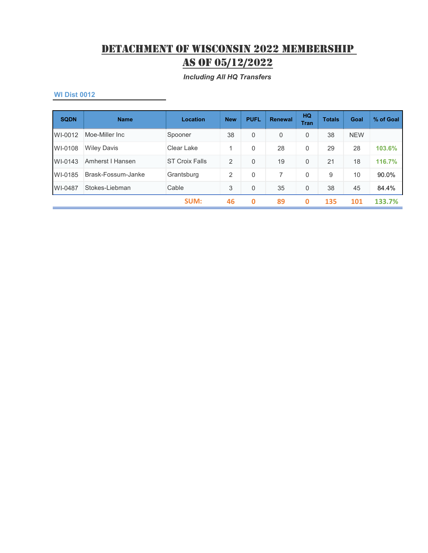*Including All HQ Transfers*

| <b>SQDN</b> | <b>Name</b>        | <b>Location</b>       | <b>New</b> | <b>PUFL</b> | <b>Renewal</b> | <b>HQ</b><br><b>Tran</b> | <b>Totals</b> | Goal       | % of Goal |
|-------------|--------------------|-----------------------|------------|-------------|----------------|--------------------------|---------------|------------|-----------|
| WI-0012     | Moe-Miller Inc.    | Spooner               | 38         | $\Omega$    | $\overline{0}$ | 0                        | 38            | <b>NEW</b> |           |
| WI-0108     | <b>Wiley Davis</b> | Clear Lake            | 1          | 0           | 28             | 0                        | 29            | 28         | 103.6%    |
| WI-0143     | Amherst I Hansen   | <b>ST Croix Falls</b> | 2          | $\Omega$    | 19             | 0                        | 21            | 18         | 116.7%    |
| WI-0185     | Brask-Fossum-Janke | Grantsburg            | 2          | $\Omega$    |                | $\mathbf 0$              | 9             | 10         | 90.0%     |
| WI-0487     | Stokes-Liebman     | Cable                 | 3          | $\Omega$    | 35             | 0                        | 38            | 45         | 84.4%     |
|             |                    | SUM:                  | 46         | 0           | 89             | 0                        | 135           | 101        | 133.7%    |